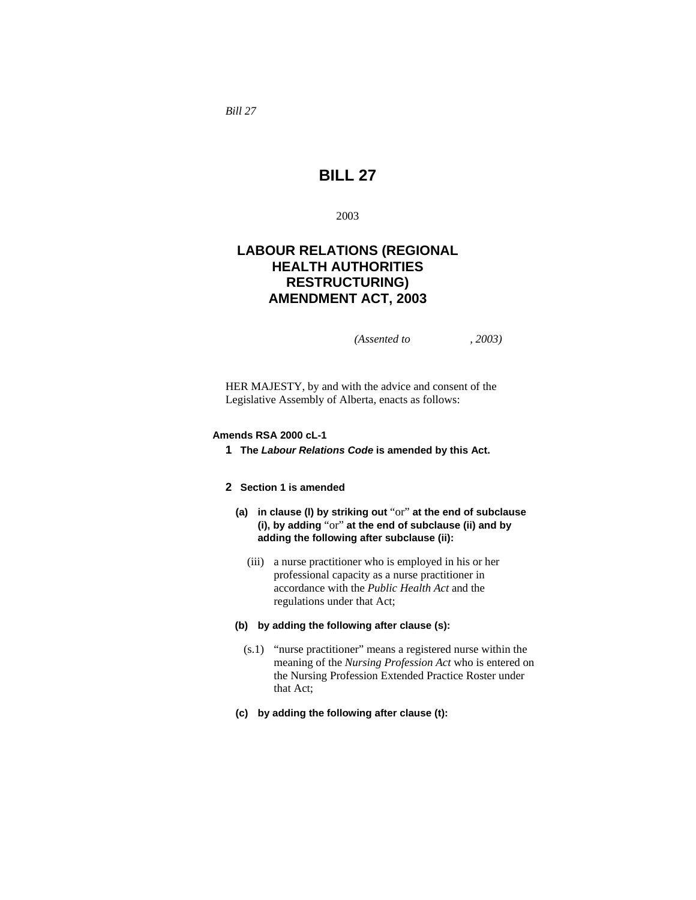*Bill 27* 

# **BILL 27**

2003

# **LABOUR RELATIONS (REGIONAL HEALTH AUTHORITIES RESTRUCTURING) AMENDMENT ACT, 2003**

*(Assented to , 2003)* 

HER MAJESTY, by and with the advice and consent of the Legislative Assembly of Alberta, enacts as follows:

#### **Amends RSA 2000 cL-1**

**1 The** *Labour Relations Code* **is amended by this Act.** 

### **2 Section 1 is amended**

- **(a) in clause (l) by striking out** "or" **at the end of subclause (i), by adding** "or" **at the end of subclause (ii) and by adding the following after subclause (ii):**
	- (iii) a nurse practitioner who is employed in his or her professional capacity as a nurse practitioner in accordance with the *Public Health Act* and the regulations under that Act;
- **(b) by adding the following after clause (s):**
	- (s.1) "nurse practitioner" means a registered nurse within the meaning of the *Nursing Profession Act* who is entered on the Nursing Profession Extended Practice Roster under that Act;
- **(c) by adding the following after clause (t):**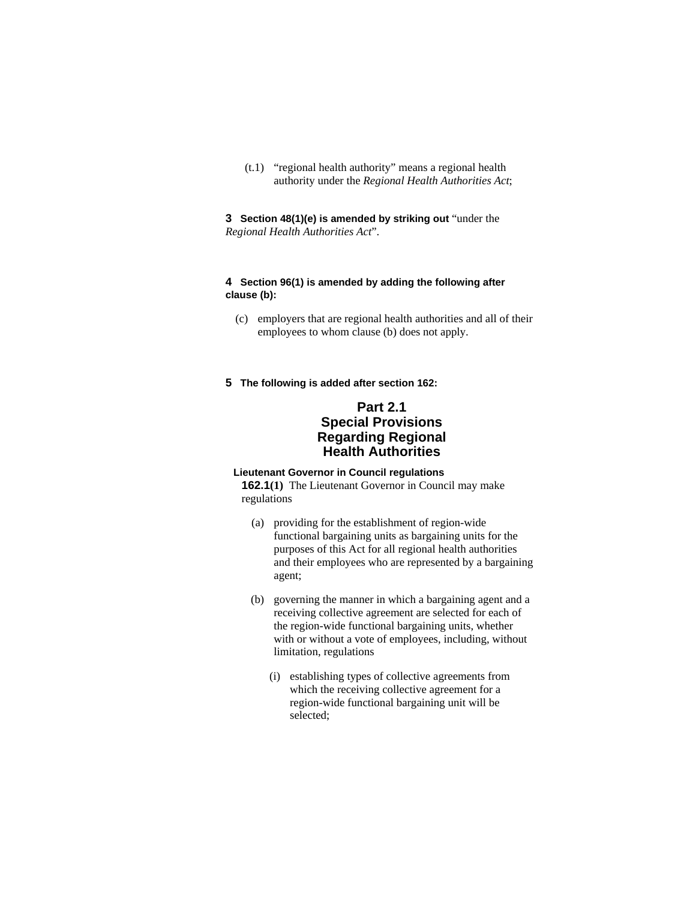(t.1) "regional health authority" means a regional health authority under the *Regional Health Authorities Act*;

**3 Section 48(1)(e) is amended by striking out** "under the *Regional Health Authorities Act*".

### **4 Section 96(1) is amended by adding the following after clause (b):**

- (c) employers that are regional health authorities and all of their employees to whom clause (b) does not apply.
- **5 The following is added after section 162:**

# **Part 2.1 Special Provisions Regarding Regional Health Authorities**

### **Lieutenant Governor in Council regulations**

**162.1(1)** The Lieutenant Governor in Council may make regulations

- (a) providing for the establishment of region-wide functional bargaining units as bargaining units for the purposes of this Act for all regional health authorities and their employees who are represented by a bargaining agent;
- (b) governing the manner in which a bargaining agent and a receiving collective agreement are selected for each of the region-wide functional bargaining units, whether with or without a vote of employees, including, without limitation, regulations
	- (i) establishing types of collective agreements from which the receiving collective agreement for a region-wide functional bargaining unit will be selected;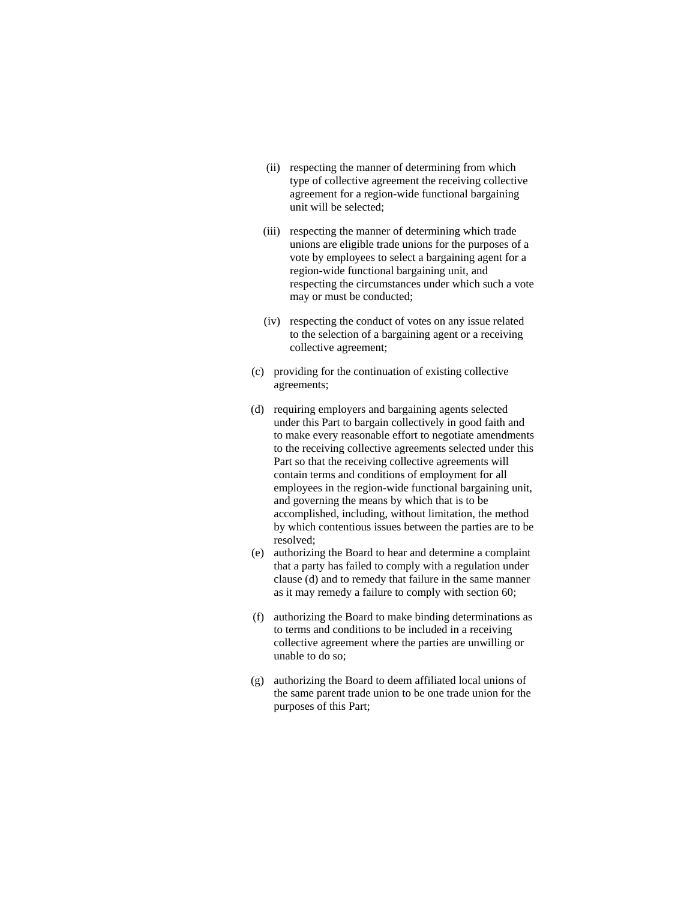- (ii) respecting the manner of determining from which type of collective agreement the receiving collective agreement for a region-wide functional bargaining unit will be selected;
- (iii) respecting the manner of determining which trade unions are eligible trade unions for the purposes of a vote by employees to select a bargaining agent for a region-wide functional bargaining unit, and respecting the circumstances under which such a vote may or must be conducted;
- (iv) respecting the conduct of votes on any issue related to the selection of a bargaining agent or a receiving collective agreement;
- (c) providing for the continuation of existing collective agreements;
- (d) requiring employers and bargaining agents selected under this Part to bargain collectively in good faith and to make every reasonable effort to negotiate amendments to the receiving collective agreements selected under this Part so that the receiving collective agreements will contain terms and conditions of employment for all employees in the region-wide functional bargaining unit, and governing the means by which that is to be accomplished, including, without limitation, the method by which contentious issues between the parties are to be resolved;
- (e) authorizing the Board to hear and determine a complaint that a party has failed to comply with a regulation under clause (d) and to remedy that failure in the same manner as it may remedy a failure to comply with section 60;
- (f) authorizing the Board to make binding determinations as to terms and conditions to be included in a receiving collective agreement where the parties are unwilling or unable to do so;
- (g) authorizing the Board to deem affiliated local unions of the same parent trade union to be one trade union for the purposes of this Part;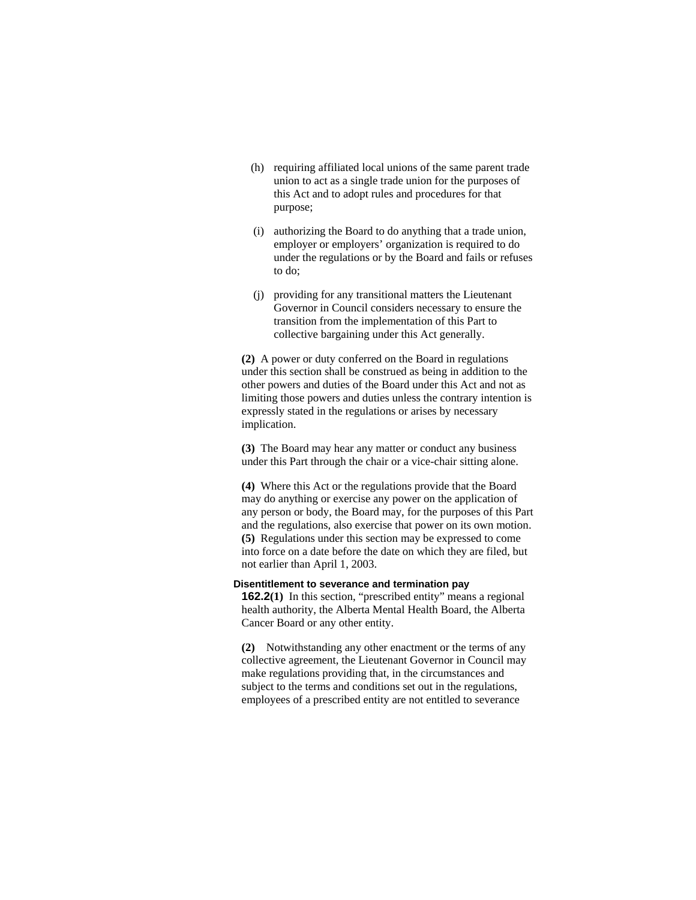- (h) requiring affiliated local unions of the same parent trade union to act as a single trade union for the purposes of this Act and to adopt rules and procedures for that purpose;
- (i) authorizing the Board to do anything that a trade union, employer or employers' organization is required to do under the regulations or by the Board and fails or refuses to do;
- (j) providing for any transitional matters the Lieutenant Governor in Council considers necessary to ensure the transition from the implementation of this Part to collective bargaining under this Act generally.

**(2)** A power or duty conferred on the Board in regulations under this section shall be construed as being in addition to the other powers and duties of the Board under this Act and not as limiting those powers and duties unless the contrary intention is expressly stated in the regulations or arises by necessary implication.

**(3)** The Board may hear any matter or conduct any business under this Part through the chair or a vice-chair sitting alone.

**(4)** Where this Act or the regulations provide that the Board may do anything or exercise any power on the application of any person or body, the Board may, for the purposes of this Part and the regulations, also exercise that power on its own motion. **(5)** Regulations under this section may be expressed to come into force on a date before the date on which they are filed, but not earlier than April 1, 2003.

#### **Disentitlement to severance and termination pay**

**162.2(1)** In this section, "prescribed entity" means a regional health authority, the Alberta Mental Health Board, the Alberta Cancer Board or any other entity.

**(2)** Notwithstanding any other enactment or the terms of any collective agreement, the Lieutenant Governor in Council may make regulations providing that, in the circumstances and subject to the terms and conditions set out in the regulations, employees of a prescribed entity are not entitled to severance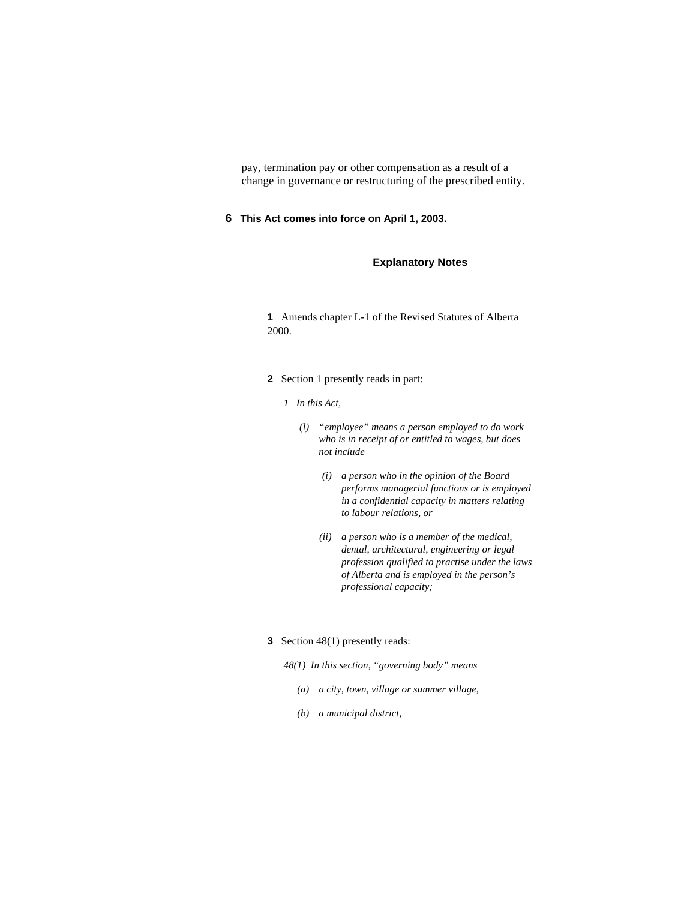pay, termination pay or other compensation as a result of a change in governance or restructuring of the prescribed entity.

**6 This Act comes into force on April 1, 2003.** 

## **Explanatory Notes**

**1** Amends chapter L-1 of the Revised Statutes of Alberta 2000.

- **2** Section 1 presently reads in part:
	- *1 In this Act,* 
		- *(l) "employee" means a person employed to do work who is in receipt of or entitled to wages, but does not include* 
			- *(i) a person who in the opinion of the Board performs managerial functions or is employed in a confidential capacity in matters relating to labour relations, or*
			- *(ii) a person who is a member of the medical, dental, architectural, engineering or legal profession qualified to practise under the laws of Alberta and is employed in the person's professional capacity;*

### **3** Section 48(1) presently reads:

*48(1) In this section, "governing body" means* 

- *(a) a city, town, village or summer village,*
- *(b) a municipal district,*